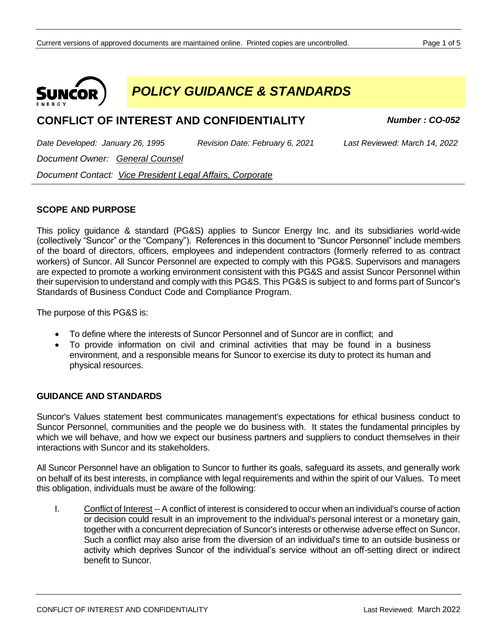

*POLICY GUIDANCE & STANDARDS*

# **CONFLICT OF INTEREST AND CONFIDENTIALITY** *Number : CO-052*

*Date Developed: January 26, 1995 Revision Date: February 6, 2021 Last Reviewed: March 14, 2022*

*Document Owner: General Counsel*

*Document Contact: Vice President Legal Affairs, Corporate*

# **SCOPE AND PURPOSE**

This policy guidance & standard (PG&S) applies to Suncor Energy Inc. and its subsidiaries world-wide (collectively "Suncor" or the "Company"). References in this document to "Suncor Personnel" include members of the board of directors, officers, employees and independent contractors (formerly referred to as contract workers) of Suncor. All Suncor Personnel are expected to comply with this PG&S. Supervisors and managers are expected to promote a working environment consistent with this PG&S and assist Suncor Personnel within their supervision to understand and comply with this PG&S. This PG&S is subject to and forms part of Suncor's Standards of Business Conduct Code and Compliance Program.

The purpose of this PG&S is:

- To define where the interests of Suncor Personnel and of Suncor are in conflict; and
- To provide information on civil and criminal activities that may be found in a business environment, and a responsible means for Suncor to exercise its duty to protect its human and physical resources.

## **GUIDANCE AND STANDARDS**

Suncor's Values statement best communicates management's expectations for ethical business conduct to Suncor Personnel, communities and the people we do business with. It states the fundamental principles by which we will behave, and how we expect our business partners and suppliers to conduct themselves in their interactions with Suncor and its stakeholders.

All Suncor Personnel have an obligation to Suncor to further its goals, safeguard its assets, and generally work on behalf of its best interests, in compliance with legal requirements and within the spirit of our Values. To meet this obligation, individuals must be aware of the following:

I. Conflict of Interest -- A conflict of interest is considered to occur when an individual's course of action or decision could result in an improvement to the individual's personal interest or a monetary gain, together with a concurrent depreciation of Suncor's interests or otherwise adverse effect on Suncor. Such a conflict may also arise from the diversion of an individual's time to an outside business or activity which deprives Suncor of the individual's service without an off-setting direct or indirect benefit to Suncor.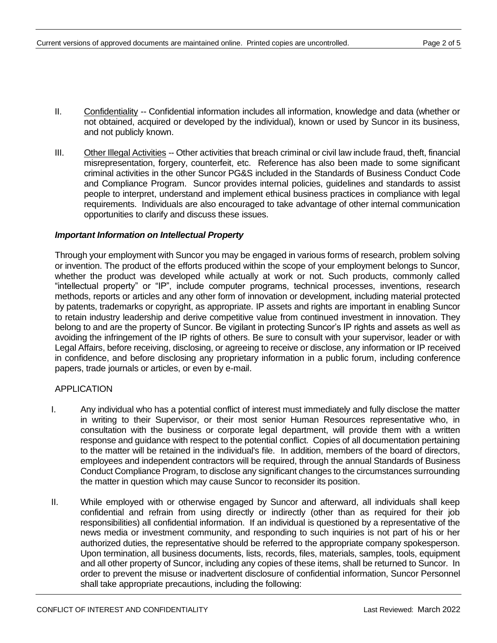- II. Confidentiality -- Confidential information includes all information, knowledge and data (whether or not obtained, acquired or developed by the individual), known or used by Suncor in its business, and not publicly known.
- III. Other Illegal Activities -- Other activities that breach criminal or civil law include fraud, theft, financial misrepresentation, forgery, counterfeit, etc. Reference has also been made to some significant criminal activities in the other Suncor PG&S included in the Standards of Business Conduct Code and Compliance Program. Suncor provides internal policies, guidelines and standards to assist people to interpret, understand and implement ethical business practices in compliance with legal requirements. Individuals are also encouraged to take advantage of other internal communication opportunities to clarify and discuss these issues.

#### *Important Information on Intellectual Property*

Through your employment with Suncor you may be engaged in various forms of research, problem solving or invention. The product of the efforts produced within the scope of your employment belongs to Suncor, whether the product was developed while actually at work or not. Such products, commonly called "intellectual property" or "IP", include computer programs, technical processes, inventions, research methods, reports or articles and any other form of innovation or development, including material protected by patents, trademarks or copyright, as appropriate. IP assets and rights are important in enabling Suncor to retain industry leadership and derive competitive value from continued investment in innovation. They belong to and are the property of Suncor. Be vigilant in protecting Suncor's IP rights and assets as well as avoiding the infringement of the IP rights of others. Be sure to consult with your supervisor, leader or with Legal Affairs, before receiving, disclosing, or agreeing to receive or disclose, any information or IP received in confidence, and before disclosing any proprietary information in a public forum, including conference papers, trade journals or articles, or even by e-mail.

## APPLICATION

- I. Any individual who has a potential conflict of interest must immediately and fully disclose the matter in writing to their Supervisor, or their most senior Human Resources representative who, in consultation with the business or corporate legal department, will provide them with a written response and guidance with respect to the potential conflict. Copies of all documentation pertaining to the matter will be retained in the individual's file. In addition, members of the board of directors, employees and independent contractors will be required, through the annual Standards of Business Conduct Compliance Program, to disclose any significant changes to the circumstances surrounding the matter in question which may cause Suncor to reconsider its position.
- II. While employed with or otherwise engaged by Suncor and afterward, all individuals shall keep confidential and refrain from using directly or indirectly (other than as required for their job responsibilities) all confidential information. If an individual is questioned by a representative of the news media or investment community, and responding to such inquiries is not part of his or her authorized duties, the representative should be referred to the appropriate company spokesperson. Upon termination, all business documents, lists, records, files, materials, samples, tools, equipment and all other property of Suncor, including any copies of these items, shall be returned to Suncor. In order to prevent the misuse or inadvertent disclosure of confidential information, Suncor Personnel shall take appropriate precautions, including the following: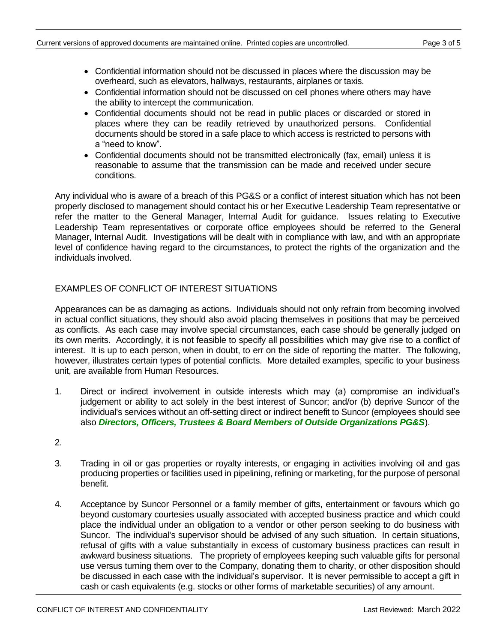- Confidential information should not be discussed in places where the discussion may be overheard, such as elevators, hallways, restaurants, airplanes or taxis.
- Confidential information should not be discussed on cell phones where others may have the ability to intercept the communication.
- Confidential documents should not be read in public places or discarded or stored in places where they can be readily retrieved by unauthorized persons. Confidential documents should be stored in a safe place to which access is restricted to persons with a "need to know".
- Confidential documents should not be transmitted electronically (fax, email) unless it is reasonable to assume that the transmission can be made and received under secure conditions.

Any individual who is aware of a breach of this PG&S or a conflict of interest situation which has not been properly disclosed to management should contact his or her Executive Leadership Team representative or refer the matter to the General Manager, Internal Audit for guidance. Issues relating to Executive Leadership Team representatives or corporate office employees should be referred to the General Manager, Internal Audit. Investigations will be dealt with in compliance with law, and with an appropriate level of confidence having regard to the circumstances, to protect the rights of the organization and the individuals involved.

# EXAMPLES OF CONFLICT OF INTEREST SITUATIONS

Appearances can be as damaging as actions. Individuals should not only refrain from becoming involved in actual conflict situations, they should also avoid placing themselves in positions that may be perceived as conflicts. As each case may involve special circumstances, each case should be generally judged on its own merits. Accordingly, it is not feasible to specify all possibilities which may give rise to a conflict of interest. It is up to each person, when in doubt, to err on the side of reporting the matter. The following, however, illustrates certain types of potential conflicts. More detailed examples, specific to your business unit, are available from Human Resources.

- 1. Direct or indirect involvement in outside interests which may (a) compromise an individual's judgement or ability to act solely in the best interest of Suncor; and/or (b) deprive Suncor of the individual's services without an off-setting direct or indirect benefit to Suncor (employees should see also *Directors, Officers, Trustees & Board Members of Outside Organizations PG&S*).
- 2.
- 3. Trading in oil or gas properties or royalty interests, or engaging in activities involving oil and gas producing properties or facilities used in pipelining, refining or marketing, for the purpose of personal benefit.
- 4. Acceptance by Suncor Personnel or a family member of gifts, entertainment or favours which go beyond customary courtesies usually associated with accepted business practice and which could place the individual under an obligation to a vendor or other person seeking to do business with Suncor. The individual's supervisor should be advised of any such situation. In certain situations, refusal of gifts with a value substantially in excess of customary business practices can result in awkward business situations. The propriety of employees keeping such valuable gifts for personal use versus turning them over to the Company, donating them to charity, or other disposition should be discussed in each case with the individual's supervisor. It is never permissible to accept a gift in cash or cash equivalents (e.g. stocks or other forms of marketable securities) of any amount.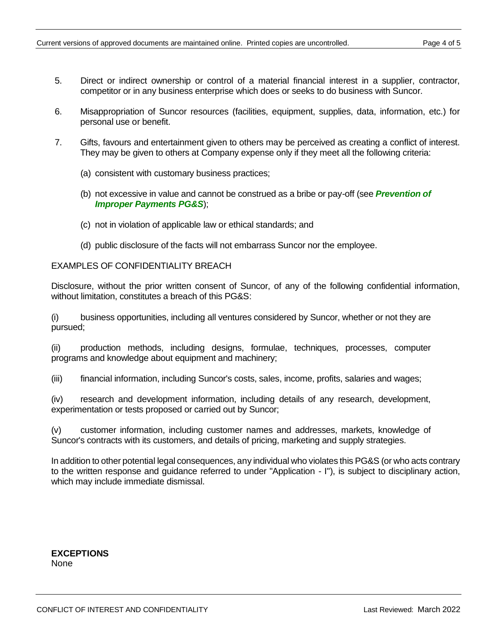- 5. Direct or indirect ownership or control of a material financial interest in a supplier, contractor, competitor or in any business enterprise which does or seeks to do business with Suncor.
- 6. Misappropriation of Suncor resources (facilities, equipment, supplies, data, information, etc.) for personal use or benefit.
- 7. Gifts, favours and entertainment given to others may be perceived as creating a conflict of interest. They may be given to others at Company expense only if they meet all the following criteria:
	- (a) consistent with customary business practices;
	- (b) not excessive in value and cannot be construed as a bribe or pay-off (see *Prevention of Improper Payments PG&S*);
	- (c) not in violation of applicable law or ethical standards; and
	- (d) public disclosure of the facts will not embarrass Suncor nor the employee.

#### EXAMPLES OF CONFIDENTIALITY BREACH

Disclosure, without the prior written consent of Suncor, of any of the following confidential information, without limitation, constitutes a breach of this PG&S:

(i) business opportunities, including all ventures considered by Suncor, whether or not they are pursued;

(ii) production methods, including designs, formulae, techniques, processes, computer programs and knowledge about equipment and machinery;

(iii) financial information, including Suncor's costs, sales, income, profits, salaries and wages;

(iv) research and development information, including details of any research, development, experimentation or tests proposed or carried out by Suncor;

(v) customer information, including customer names and addresses, markets, knowledge of Suncor's contracts with its customers, and details of pricing, marketing and supply strategies.

In addition to other potential legal consequences, any individual who violates this PG&S (or who acts contrary to the written response and guidance referred to under "Application - I"), is subject to disciplinary action, which may include immediate dismissal.

**EXCEPTIONS** None